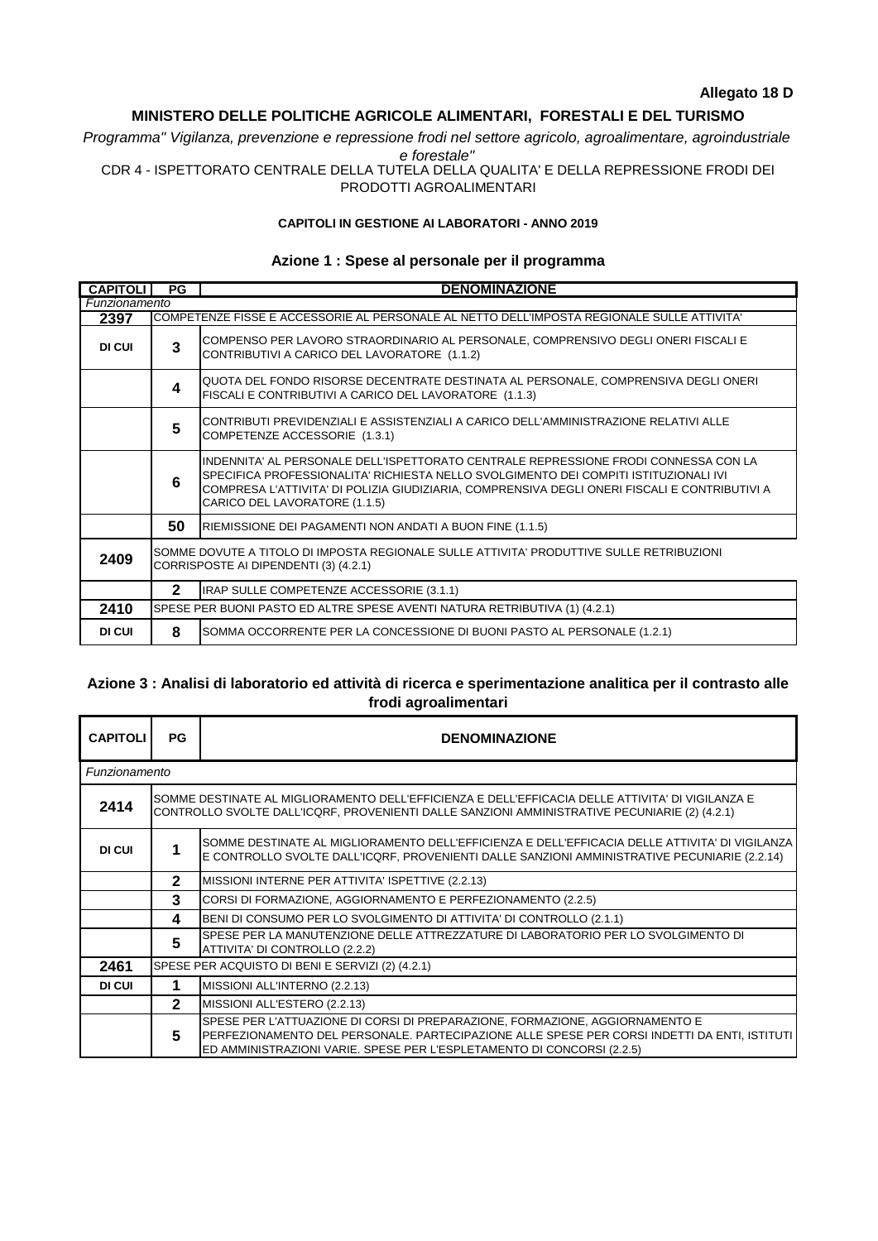## **MINISTERO DELLE POLITICHE AGRICOLE ALIMENTARI, FORESTALI E DEL TURISMO**

*Programma" Vigilanza, prevenzione e repressione frodi nel settore agricolo, agroalimentare, agroindustriale e forestale"*

CDR 4 - ISPETTORATO CENTRALE DELLA TUTELA DELLA QUALITA' E DELLA REPRESSIONE FRODI DEI PRODOTTI AGROALIMENTARI

## **CAPITOLI IN GESTIONE AI LABORATORI - ANNO 2019**

## **Azione 1 : Spese al personale per il programma**

| <b>CAPITOLI</b> | PG                                                                                                                                | <b>DENOMINAZIONE</b>                                                                                                                                                                                                                                                                                            |  |  |
|-----------------|-----------------------------------------------------------------------------------------------------------------------------------|-----------------------------------------------------------------------------------------------------------------------------------------------------------------------------------------------------------------------------------------------------------------------------------------------------------------|--|--|
| Funzionamento   |                                                                                                                                   |                                                                                                                                                                                                                                                                                                                 |  |  |
| 2397            |                                                                                                                                   | COMPETENZE FISSE E ACCESSORIE AL PERSONALE AL NETTO DELL'IMPOSTA REGIONALE SULLE ATTIVITA'                                                                                                                                                                                                                      |  |  |
| DI CUI          | 3                                                                                                                                 | COMPENSO PER LAVORO STRAORDINARIO AL PERSONALE, COMPRENSIVO DEGLI ONERI FISCALI E<br>CONTRIBUTIVI A CARICO DEL LAVORATORE (1.1.2)                                                                                                                                                                               |  |  |
|                 | 4                                                                                                                                 | QUOTA DEL FONDO RISORSE DECENTRATE DESTINATA AL PERSONALE, COMPRENSIVA DEGLI ONERI<br>FISCALI E CONTRIBUTIVI A CARICO DEL LAVORATORE (1.1.3)                                                                                                                                                                    |  |  |
|                 | 5                                                                                                                                 | CONTRIBUTI PREVIDENZIALI E ASSISTENZIALI A CARICO DELL'AMMINISTRAZIONE RELATIVI ALLE<br>COMPETENZE ACCESSORIE (1.3.1)                                                                                                                                                                                           |  |  |
|                 | 6                                                                                                                                 | IINDENNITA' AL PERSONALE DELL'ISPETTORATO CENTRALE REPRESSIONE FRODI CONNESSA CON LA<br>ISPECIFICA PROFESSIONALITA' RICHIESTA NELLO SVOLGIMENTO DEI COMPITI ISTITUZIONALI IVI<br>COMPRESA L'ATTIVITA' DI POLIZIA GIUDIZIARIA, COMPRENSIVA DEGLI ONERI FISCALI E CONTRIBUTIVI A<br>CARICO DEL LAVORATORE (1.1.5) |  |  |
|                 | 50                                                                                                                                | RIEMISSIONE DEI PAGAMENTI NON ANDATI A BUON FINE (1.1.5)                                                                                                                                                                                                                                                        |  |  |
| 2409            | SOMME DOVUTE A TITOLO DI IMPOSTA REGIONALE SULLE ATTIVITA' PRODUTTIVE SULLE RETRIBUZIONI<br>CORRISPOSTE AI DIPENDENTI (3) (4.2.1) |                                                                                                                                                                                                                                                                                                                 |  |  |
|                 | $\overline{2}$                                                                                                                    | IRAP SULLE COMPETENZE ACCESSORIE (3.1.1)                                                                                                                                                                                                                                                                        |  |  |
| 2410            | SPESE PER BUONI PASTO ED ALTRE SPESE AVENTI NATURA RETRIBUTIVA (1) (4.2.1)                                                        |                                                                                                                                                                                                                                                                                                                 |  |  |
| DI CUI          | 8                                                                                                                                 | SOMMA OCCORRENTE PER LA CONCESSIONE DI BUONI PASTO AL PERSONALE (1.2.1)                                                                                                                                                                                                                                         |  |  |

## **Azione 3 : Analisi di laboratorio ed attività di ricerca e sperimentazione analitica per il contrasto alle frodi agroalimentari**

| <b>CAPITOLI</b> | PG                                                                                                                                                                                                 | <b>DENOMINAZIONE</b>                                                                                                                                                                                                                                   |  |  |  |
|-----------------|----------------------------------------------------------------------------------------------------------------------------------------------------------------------------------------------------|--------------------------------------------------------------------------------------------------------------------------------------------------------------------------------------------------------------------------------------------------------|--|--|--|
| Funzionamento   |                                                                                                                                                                                                    |                                                                                                                                                                                                                                                        |  |  |  |
| 2414            | ISOMME DESTINATE AL MIGLIORAMENTO DELL'EFFICIENZA E DELL'EFFICACIA DELLE ATTIVITA' DI VIGILANZA E<br>CONTROLLO SVOLTE DALL'ICQRF, PROVENIENTI DALLE SANZIONI AMMINISTRATIVE PECUNIARIE (2) (4.2.1) |                                                                                                                                                                                                                                                        |  |  |  |
| DI CUI          |                                                                                                                                                                                                    | SOMME DESTINATE AL MIGLIORAMENTO DELL'EFFICIENZA E DELL'EFFICACIA DELLE ATTIVITA' DI VIGILANZA<br>E CONTROLLO SVOLTE DALL'ICQRF, PROVENIENTI DALLE SANZIONI AMMINISTRATIVE PECUNIARIE (2.2.14)                                                         |  |  |  |
|                 | $\mathbf{2}$                                                                                                                                                                                       | MISSIONI INTERNE PER ATTIVITA' ISPETTIVE (2.2.13)                                                                                                                                                                                                      |  |  |  |
|                 | 3                                                                                                                                                                                                  | CORSI DI FORMAZIONE, AGGIORNAMENTO E PERFEZIONAMENTO (2.2.5)                                                                                                                                                                                           |  |  |  |
|                 | 4                                                                                                                                                                                                  | BENI DI CONSUMO PER LO SVOLGIMENTO DI ATTIVITA' DI CONTROLLO (2.1.1)                                                                                                                                                                                   |  |  |  |
|                 | 5                                                                                                                                                                                                  | SPESE PER LA MANUTENZIONE DELLE ATTREZZATURE DI LABORATORIO PER LO SVOLGIMENTO DI<br>ATTIVITA' DI CONTROLLO (2.2.2)                                                                                                                                    |  |  |  |
| 2461            | SPESE PER ACQUISTO DI BENI E SERVIZI (2) (4.2.1)                                                                                                                                                   |                                                                                                                                                                                                                                                        |  |  |  |
| DI CUI          | 1                                                                                                                                                                                                  | MISSIONI ALL'INTERNO (2.2.13)                                                                                                                                                                                                                          |  |  |  |
|                 | $\overline{2}$                                                                                                                                                                                     | MISSIONI ALL'ESTERO (2.2.13)                                                                                                                                                                                                                           |  |  |  |
|                 | 5                                                                                                                                                                                                  | SPESE PER L'ATTUAZIONE DI CORSI DI PREPARAZIONE, FORMAZIONE, AGGIORNAMENTO E<br>PERFEZIONAMENTO DEL PERSONALE. PARTECIPAZIONE ALLE SPESE PER CORSI INDETTI DA ENTI, ISTITUTI<br>ED AMMINISTRAZIONI VARIE. SPESE PER L'ESPLETAMENTO DI CONCORSI (2.2.5) |  |  |  |